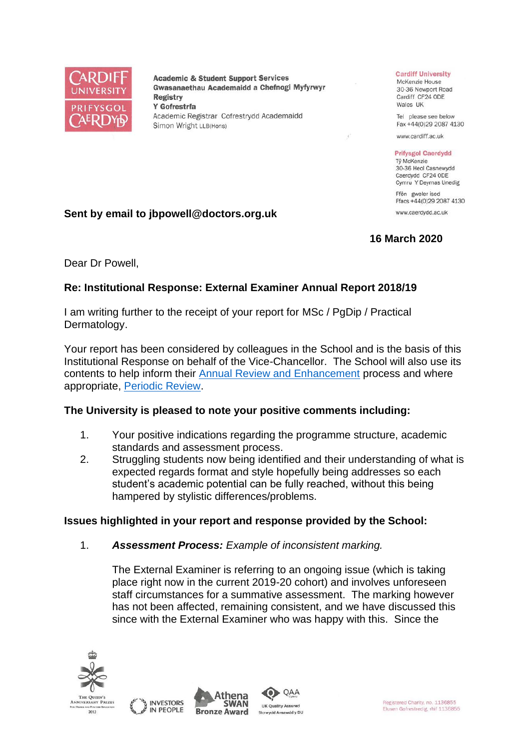

**Academic & Student Support Services** Gwasanaethau Academaidd a Chefnogi Myfyrwyr **Registry** Y Gofrestrfa Academic Registrar Cofrestrydd Academaidd Simon Wright LLB(Hons)

#### **Cardiff University**

McKenzie House 30-36 Newport Road Cardiff CF24 ODE Wales UK

Tel please see below Fax +44(0)29 2087 4130

www.cardiff.ac.uk

#### **Prifysgol Caerdydd**

Tỷ McKenzie 30-36 Heol Casnewydd Caerdydd CF24 ODE Cymru Y Deyrnas Unedig

Ffôn gweler isod Ffacs +44(0)29 2087 4130 www.caerdydd.ac.uk

# **16 March 2020**

**Sent by email to jbpowell@doctors.org.uk**

Dear Dr Powell,

# **Re: Institutional Response: External Examiner Annual Report 2018/19**

I am writing further to the receipt of your report for MSc / PgDip / Practical Dermatology.

Your report has been considered by colleagues in the School and is the basis of this Institutional Response on behalf of the Vice-Chancellor. The School will also use its contents to help inform their [Annual Review and Enhancement](https://www.cardiff.ac.uk/public-information/quality-and-standards/monitoring-and-review/annual-review-and-enhancement) process and where appropriate, [Periodic Review.](http://www.cardiff.ac.uk/public-information/quality-and-standards/monitoring-and-review/periodic-review)

# **The University is pleased to note your positive comments including:**

- 1. Your positive indications regarding the programme structure, academic standards and assessment process.
- 2. Struggling students now being identified and their understanding of what is expected regards format and style hopefully being addresses so each student's academic potential can be fully reached, without this being hampered by stylistic differences/problems.

#### **Issues highlighted in your report and response provided by the School:**

1. *Assessment Process: Example of inconsistent marking.*

The External Examiner is referring to an ongoing issue (which is taking place right now in the current 2019-20 cohort) and involves unforeseen staff circumstances for a summative assessment. The marking however has not been affected, remaining consistent, and we have discussed this since with the External Examiner who was happy with this. Since the